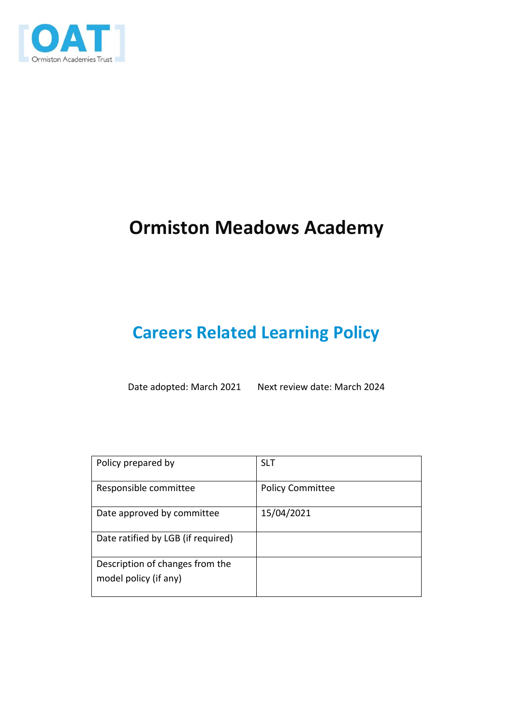

# **Ormiston Meadows Academy**

# **Careers Related Learning Policy**

Date adopted: March 2021 Next review date: March 2024

| Policy prepared by                 | <b>SLT</b>              |
|------------------------------------|-------------------------|
| Responsible committee              | <b>Policy Committee</b> |
| Date approved by committee         | 15/04/2021              |
| Date ratified by LGB (if required) |                         |
| Description of changes from the    |                         |
| model policy (if any)              |                         |
|                                    |                         |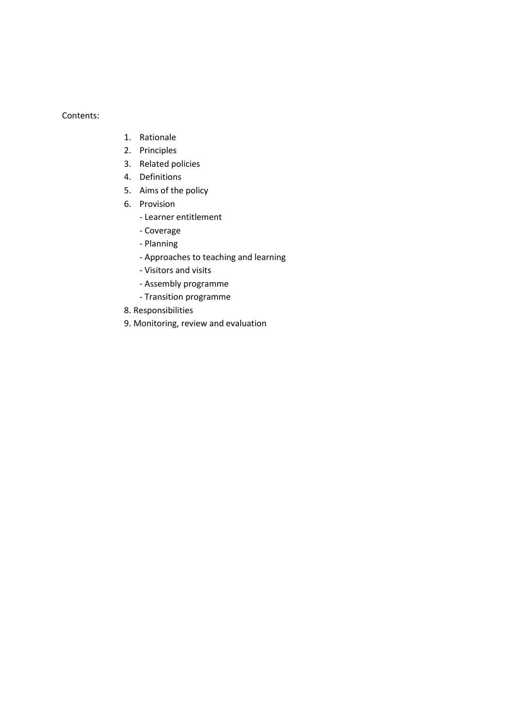Contents:

- 1. Rationale
- 2. Principles
- 3. Related policies
- 4. Definitions
- 5. Aims of the policy
- 6. Provision
	- Learner entitlement
	- Coverage
	- Planning
	- Approaches to teaching and learning
	- Visitors and visits
	- Assembly programme
	- Transition programme
- 8. Responsibilities
- 9. Monitoring, review and evaluation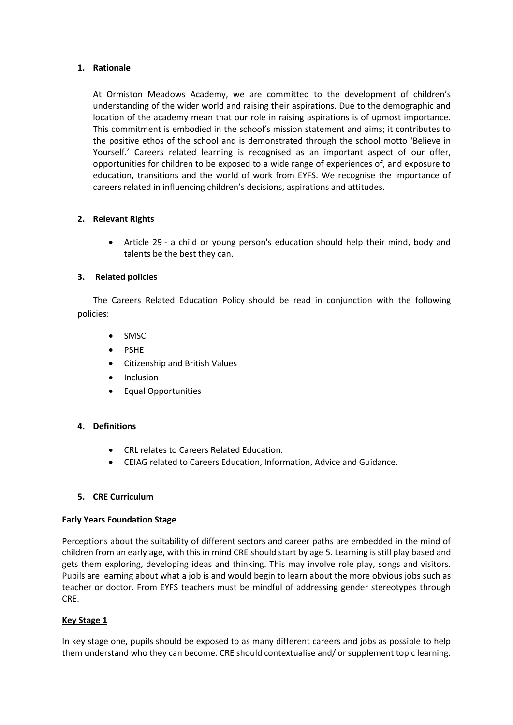## **1. Rationale**

At Ormiston Meadows Academy, we are committed to the development of children's understanding of the wider world and raising their aspirations. Due to the demographic and location of the academy mean that our role in raising aspirations is of upmost importance. This commitment is embodied in the school's mission statement and aims; it contributes to the positive ethos of the school and is demonstrated through the school motto 'Believe in Yourself.' Careers related learning is recognised as an important aspect of our offer, opportunities for children to be exposed to a wide range of experiences of, and exposure to education, transitions and the world of work from EYFS. We recognise the importance of careers related in influencing children's decisions, aspirations and attitudes.

## **2. Relevant Rights**

 Article 29 - a child or young person's education should help their mind, body and talents be the best they can.

## **3. Related policies**

The Careers Related Education Policy should be read in conjunction with the following policies:

- SMSC
- PSHE
- Citizenship and British Values
- Inclusion
- Equal Opportunities

# **4. Definitions**

- CRL relates to Careers Related Education.
- CEIAG related to Careers Education, Information, Advice and Guidance.

## **5. CRE Curriculum**

## **Early Years Foundation Stage**

Perceptions about the suitability of different sectors and career paths are embedded in the mind of children from an early age, with this in mind CRE should start by age 5. Learning is still play based and gets them exploring, developing ideas and thinking. This may involve role play, songs and visitors. Pupils are learning about what a job is and would begin to learn about the more obvious jobs such as teacher or doctor. From EYFS teachers must be mindful of addressing gender stereotypes through CRE.

## **Key Stage 1**

In key stage one, pupils should be exposed to as many different careers and jobs as possible to help them understand who they can become. CRE should contextualise and/ or supplement topic learning.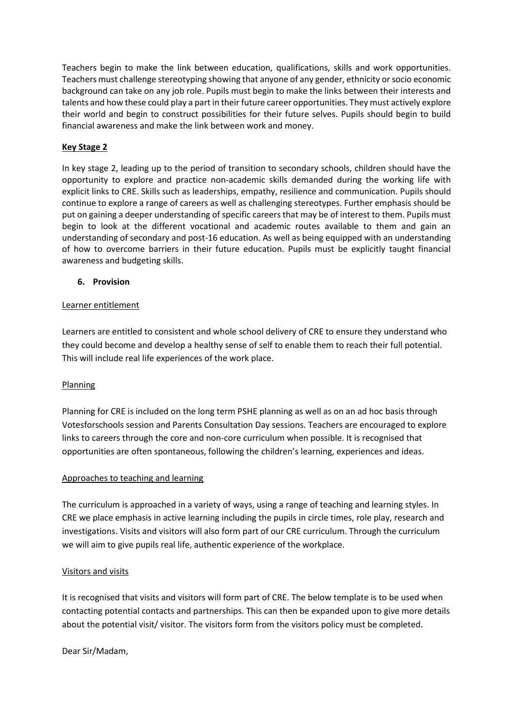Teachers begin to make the link between education, qualifications, skills and work opportunities. Teachers must challenge stereotyping showing that anyone of any gender, ethnicity or socio economic background can take on any job role. Pupils must begin to make the links between their interests and talents and how these could play a part in their future career opportunities. They must actively explore their world and begin to construct possibilities for their future selves. Pupils should begin to build financial awareness and make the link between work and money.

# **Key Stage 2**

In key stage 2, leading up to the period of transition to secondary schools, children should have the opportunity to explore and practice non-academic skills demanded during the working life with explicit links to CRE. Skills such as leaderships, empathy, resilience and communication. Pupils should continue to explore a range of careers as well as challenging stereotypes. Further emphasis should be put on gaining a deeper understanding of specific careers that may be of interest to them. Pupils must begin to look at the different vocational and academic routes available to them and gain an understanding of secondary and post-16 education. As well as being equipped with an understanding of how to overcome barriers in their future education. Pupils must be explicitly taught financial awareness and budgeting skills.

# **6. Provision**

## Learner entitlement

Learners are entitled to consistent and whole school delivery of CRE to ensure they understand who they could become and develop a healthy sense of self to enable them to reach their full potential. This will include real life experiences of the work place.

# **Planning**

Planning for CRE is included on the long term PSHE planning as well as on an ad hoc basis through Votesforschools session and Parents Consultation Day sessions. Teachers are encouraged to explore links to careers through the core and non-core curriculum when possible. It is recognised that opportunities are often spontaneous, following the children's learning, experiences and ideas.

## Approaches to teaching and learning

The curriculum is approached in a variety of ways, using a range of teaching and learning styles. In CRE we place emphasis in active learning including the pupils in circle times, role play, research and investigations. Visits and visitors will also form part of our CRE curriculum. Through the curriculum we will aim to give pupils real life, authentic experience of the workplace.

## Visitors and visits

It is recognised that visits and visitors will form part of CRE. The below template is to be used when contacting potential contacts and partnerships. This can then be expanded upon to give more details about the potential visit/ visitor. The visitors form from the visitors policy must be completed.

Dear Sir/Madam,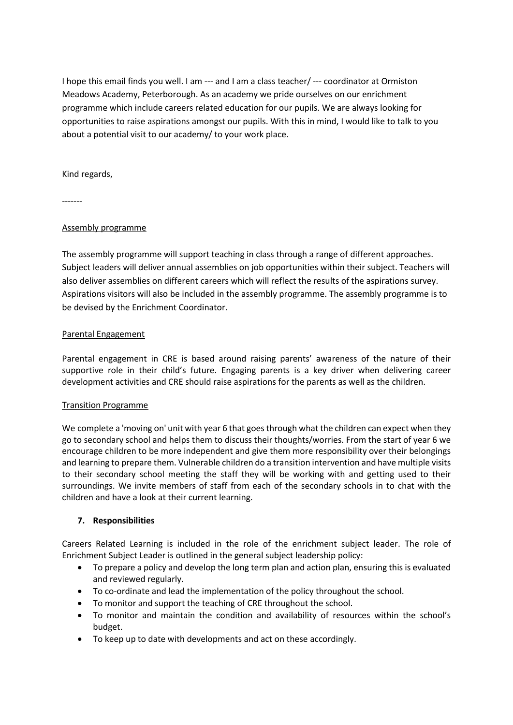I hope this email finds you well. I am --- and I am a class teacher/ --- coordinator at Ormiston Meadows Academy, Peterborough. As an academy we pride ourselves on our enrichment programme which include careers related education for our pupils. We are always looking for opportunities to raise aspirations amongst our pupils. With this in mind, I would like to talk to you about a potential visit to our academy/ to your work place.

Kind regards,

-------

## Assembly programme

The assembly programme will support teaching in class through a range of different approaches. Subject leaders will deliver annual assemblies on job opportunities within their subject. Teachers will also deliver assemblies on different careers which will reflect the results of the aspirations survey. Aspirations visitors will also be included in the assembly programme. The assembly programme is to be devised by the Enrichment Coordinator.

## Parental Engagement

Parental engagement in CRE is based around raising parents' awareness of the nature of their supportive role in their child's future. Engaging parents is a key driver when delivering career development activities and CRE should raise aspirations for the parents as well as the children.

## Transition Programme

We complete a 'moving on' unit with year 6 that goes through what the children can expect when they go to secondary school and helps them to discuss their thoughts/worries. From the start of year 6 we encourage children to be more independent and give them more responsibility over their belongings and learning to prepare them. Vulnerable children do a transition intervention and have multiple visits to their secondary school meeting the staff they will be working with and getting used to their surroundings. We invite members of staff from each of the secondary schools in to chat with the children and have a look at their current learning.

# **7. Responsibilities**

Careers Related Learning is included in the role of the enrichment subject leader. The role of Enrichment Subject Leader is outlined in the general subject leadership policy:

- To prepare a policy and develop the long term plan and action plan, ensuring this is evaluated and reviewed regularly.
- To co-ordinate and lead the implementation of the policy throughout the school.
- To monitor and support the teaching of CRE throughout the school.
- To monitor and maintain the condition and availability of resources within the school's budget.
- To keep up to date with developments and act on these accordingly.